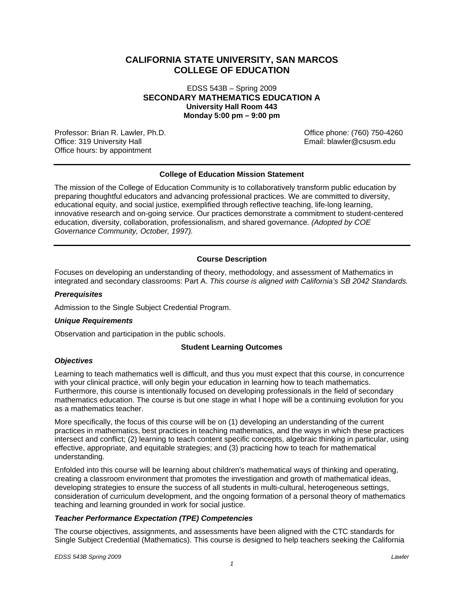# **CALIFORNIA STATE UNIVERSITY, SAN MARCOS COLLEGE OF EDUCATION**

EDSS 543B – Spring 2009 **SECONDARY MATHEMATICS EDUCATION A University Hall Room 443 Monday 5:00 pm – 9:00 pm** 

Professor: Brian R. Lawler, Ph.D. Office phone: (760) 750-4260 Office: 319 University Hall Office hours: by appointment

## **College of Education Mission Statement**

The mission of the College of Education Community is to collaboratively transform public education by preparing thoughtful educators and advancing professional practices. We are committed to diversity, educational equity, and social justice, exemplified through reflective teaching, life-long learning, innovative research and on-going service. Our practices demonstrate a commitment to student-centered education, diversity, collaboration, professionalism, and shared governance. *(Adopted by COE Governance Community, October, 1997).* 

## **Course Description**

Focuses on developing an understanding of theory, methodology, and assessment of Mathematics in integrated and secondary classrooms: Part A. *This course is aligned with California's SB 2042 Standards.* 

### *Prerequisites*

Admission to the Single Subject Credential Program.

#### *Unique Requirements*

Observation and participation in the public schools.

#### **Student Learning Outcomes**

#### *Objectives*

Learning to teach mathematics well is difficult, and thus you must expect that this course, in concurrence with your clinical practice, will only begin your education in learning how to teach mathematics. Furthermore, this course is intentionally focused on developing professionals in the field of secondary mathematics education. The course is but one stage in what I hope will be a continuing evolution for you as a mathematics teacher.

More specifically, the focus of this course will be on (1) developing an understanding of the current practices in mathematics, best practices in teaching mathematics, and the ways in which these practices intersect and conflict; (2) learning to teach content specific concepts, algebraic thinking in particular, using effective, appropriate, and equitable strategies; and (3) practicing how to teach for mathematical understanding.

Enfolded into this course will be learning about children's mathematical ways of thinking and operating, creating a classroom environment that promotes the investigation and growth of mathematical ideas, developing strategies to ensure the success of all students in multi-cultural, heterogeneous settings, consideration of curriculum development, and the ongoing formation of a personal theory of mathematics teaching and learning grounded in work for social justice.

## *Teacher Performance Expectation (TPE) Competencies*

The course objectives, assignments, and assessments have been aligned with the CTC standards for Single Subject Credential (Mathematics). This course is designed to help teachers seeking the California

*EDSS 543B Spring 2009 Lawler*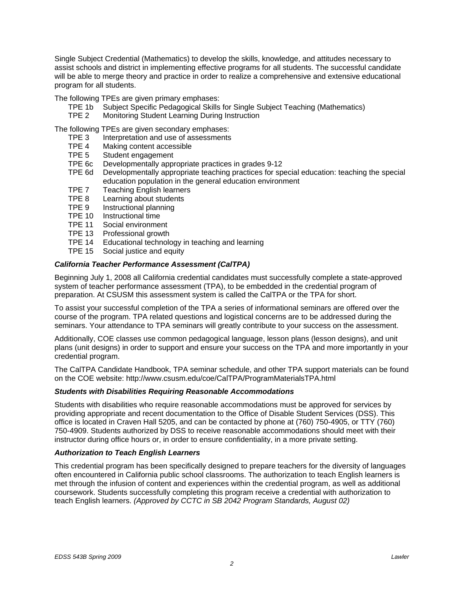Single Subject Credential (Mathematics) to develop the skills, knowledge, and attitudes necessary to assist schools and district in implementing effective programs for all students. The successful candidate will be able to merge theory and practice in order to realize a comprehensive and extensive educational program for all students.

The following TPEs are given primary emphases:

- TPE 1b Subject Specific Pedagogical Skills for Single Subject Teaching (Mathematics)
- TPE 2 Monitoring Student Learning During Instruction

The following TPEs are given secondary emphases:

- TPE 3 Interpretation and use of assessments
- TPE 4 Making content accessible
- TPE 5 Student engagement
- TPE 6c Developmentally appropriate practices in grades 9-12
- TPE 6d Developmentally appropriate teaching practices for special education: teaching the special education population in the general education environment
- TPE 7 Teaching English learners
- TPE 8 Learning about students
- TPE 9 Instructional planning
- TPE 10 Instructional time
- TPE 11 Social environment
- TPE 13 Professional growth
- TPE 14 Educational technology in teaching and learning
- TPE 15 Social justice and equity

### *California Teacher Performance Assessment (CalTPA)*

Beginning July 1, 2008 all California credential candidates must successfully complete a state-approved system of teacher performance assessment (TPA), to be embedded in the credential program of preparation. At CSUSM this assessment system is called the CalTPA or the TPA for short.

To assist your successful completion of the TPA a series of informational seminars are offered over the course of the program. TPA related questions and logistical concerns are to be addressed during the seminars. Your attendance to TPA seminars will greatly contribute to your success on the assessment.

Additionally, COE classes use common pedagogical language, lesson plans (lesson designs), and unit plans (unit designs) in order to support and ensure your success on the TPA and more importantly in your credential program.

The CalTPA Candidate Handbook, TPA seminar schedule, and other TPA support materials can be found on the COE website: http://www.csusm.edu/coe/CalTPA/ProgramMaterialsTPA.html

#### *Students with Disabilities Requiring Reasonable Accommodations*

Students with disabilities who require reasonable accommodations must be approved for services by providing appropriate and recent documentation to the Office of Disable Student Services (DSS). This office is located in Craven Hall 5205, and can be contacted by phone at (760) 750-4905, or TTY (760) 750-4909. Students authorized by DSS to receive reasonable accommodations should meet with their instructor during office hours or, in order to ensure confidentiality, in a more private setting.

## *Authorization to Teach English Learners*

This credential program has been specifically designed to prepare teachers for the diversity of languages often encountered in California public school classrooms. The authorization to teach English learners is met through the infusion of content and experiences within the credential program, as well as additional coursework. Students successfully completing this program receive a credential with authorization to teach English learners. *(Approved by CCTC in SB 2042 Program Standards, August 02)*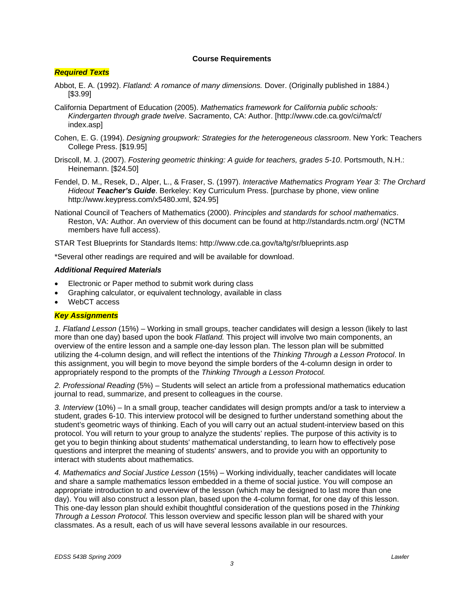## **Course Requirements**

## *Required Texts*

- Abbot, E. A. (1992). *Flatland: A romance of many dimensions.* Dover. (Originally published in 1884.) [\$3.99]
- California Department of Education (2005). *Mathematics framework for California public schools: Kindergarten through grade twelve*. Sacramento, CA: Author. [http://www.cde.ca.gov/ci/ma/cf/ index.asp]
- Cohen, E. G. (1994). *Designing groupwork: Strategies for the heterogeneous classroom*. New York: Teachers College Press. [\$19.95]
- Driscoll, M. J. (2007). *Fostering geometric thinking: A guide for teachers, grades 5-10*. Portsmouth, N.H.: Heinemann. [\$24.50]
- Fendel, D. M., Resek, D., Alper, L., & Fraser, S. (1997). *Interactive Mathematics Program Year 3: The Orchard Hideout Teacher's Guide*. Berkeley: Key Curriculum Press. [purchase by phone, view online http://www.keypress.com/x5480.xml, \$24.95]
- National Council of Teachers of Mathematics (2000). *Principles and standards for school mathematics*. Reston, VA: Author. An overview of this document can be found at http://standards.nctm.org/ (NCTM members have full access).

STAR Test Blueprints for Standards Items: http://www.cde.ca.gov/ta/tg/sr/blueprints.asp

\*Several other readings are required and will be available for download.

## *Additional Required Materials*

- Electronic or Paper method to submit work during class
- Graphing calculator, or equivalent technology, available in class
- WebCT access

## *Key Assignments*

*1. Flatland Lesson* (15%) – Working in small groups, teacher candidates will design a lesson (likely to last more than one day) based upon the book *Flatland.* This project will involve two main components, an overview of the entire lesson and a sample one-day lesson plan. The lesson plan will be submitted utilizing the 4-column design, and will reflect the intentions of the *Thinking Through a Lesson Protocol*. In this assignment, you will begin to move beyond the simple borders of the 4-column design in order to appropriately respond to the prompts of the *Thinking Through a Lesson Protocol.* 

*2. Professional Reading* (5%) – Students will select an article from a professional mathematics education journal to read, summarize, and present to colleagues in the course.

*3. Interview* (10%) – In a small group, teacher candidates will design prompts and/or a task to interview a student, grades 6-10. This interview protocol will be designed to further understand something about the student's geometric ways of thinking. Each of you will carry out an actual student-interview based on this protocol. You will return to your group to analyze the students' replies. The purpose of this activity is to get you to begin thinking about students' mathematical understanding, to learn how to effectively pose questions and interpret the meaning of students' answers, and to provide you with an opportunity to interact with students about mathematics.

*4. Mathematics and Social Justice Lesson* (15%) – Working individually, teacher candidates will locate and share a sample mathematics lesson embedded in a theme of social justice. You will compose an appropriate introduction to and overview of the lesson (which may be designed to last more than one day). You will also construct a lesson plan, based upon the 4-column format, for one day of this lesson. This one-day lesson plan should exhibit thoughtful consideration of the questions posed in the *Thinking Through a Lesson Protocol.* This lesson overview and specific lesson plan will be shared with your classmates. As a result, each of us will have several lessons available in our resources.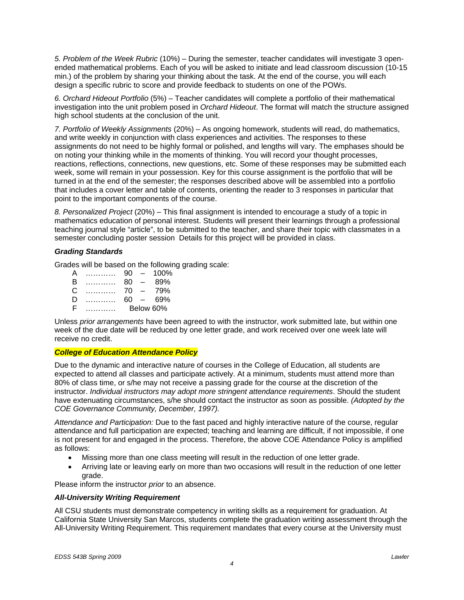*5. Problem of the Week Rubric* (10%) – During the semester, teacher candidates will investigate 3 openended mathematical problems. Each of you will be asked to initiate and lead classroom discussion (10-15 min.) of the problem by sharing your thinking about the task. At the end of the course, you will each design a specific rubric to score and provide feedback to students on one of the POWs.

*6. Orchard Hideout Portfolio* (5%) – Teacher candidates will complete a portfolio of their mathematical investigation into the unit problem posed in *Orchard Hideout*. The format will match the structure assigned high school students at the conclusion of the unit.

*7. Portfolio of Weekly Assignments* (20%) – As ongoing homework, students will read, do mathematics, and write weekly in conjunction with class experiences and activities. The responses to these assignments do not need to be highly formal or polished, and lengths will vary. The emphases should be on noting your thinking while in the moments of thinking. You will record your thought processes, reactions, reflections, connections, new questions, etc. Some of these responses may be submitted each week, some will remain in your possession. Key for this course assignment is the portfolio that will be turned in at the end of the semester; the responses described above will be assembled into a portfolio that includes a cover letter and table of contents, orienting the reader to 3 responses in particular that point to the important components of the course.

*8. Personalized Project* (20%) – This final assignment is intended to encourage a study of a topic in mathematics education of personal interest. Students will present their learnings through a professional teaching journal style "article", to be submitted to the teacher, and share their topic with classmates in a semester concluding poster session Details for this project will be provided in class.

## *Grading Standards*

Grades will be based on the following grading scale:

| A | . | 90        | $\overline{\phantom{0}}$ | 100% |
|---|---|-----------|--------------------------|------|
| B | . | 80        | $\overline{\phantom{a}}$ | 89%  |
| C | . | 70        | $\overline{\phantom{0}}$ | 79%  |
| D | . | 60        | $\overline{\phantom{0}}$ | 69%  |
| F |   | Below 60% |                          |      |

Unless *prior arrangements* have been agreed to with the instructor, work submitted late, but within one week of the due date will be reduced by one letter grade, and work received over one week late will receive no credit.

## *College of Education Attendance Policy*

COE Governance Community, December, 1997). Due to the dynamic and interactive nature of courses in the College of Education, all students are expected to attend all classes and participate actively. At a minimum, students must attend more than 80% of class time, or s/he may not receive a passing grade for the course at the discretion of the instructor. *Individual instructors may adopt more stringent attendance requirements*. Should the student have extenuating circumstances, s/he should contact the instructor as soon as possible. *(Adopted by the* 

*Attendance and Participation:* Due to the fast paced and highly interactive nature of the course, regular attendance and full participation are expected; teaching and learning are difficult, if not impossible, if one is not present for and engaged in the process. Therefore, the above COE Attendance Policy is amplified as follows:

- Missing more than one class meeting will result in the reduction of one letter grade.
- Arriving late or leaving early on more than two occasions will result in the reduction of one letter grade.

Please inform the instructor *prior* to an absence.

## *All-University Writing Requirement*

All CSU students must demonstrate competency in writing skills as a requirement for graduation. At California State University San Marcos, students complete the graduation writing assessment through the All-University Writing Requirement. This requirement mandates that every course at the University must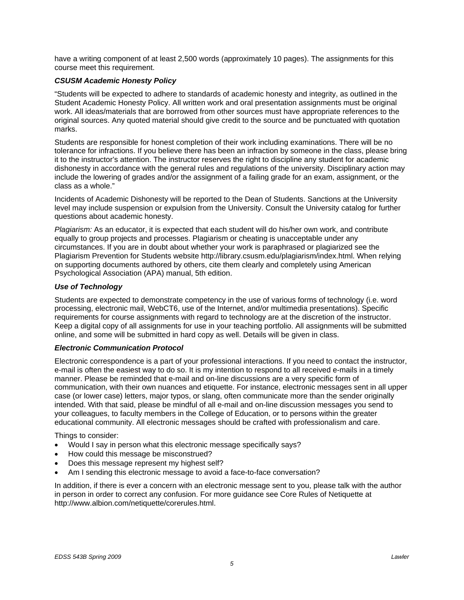have a writing component of at least 2,500 words (approximately 10 pages). The assignments for this course meet this requirement.

## *CSUSM Academic Honesty Policy*

"Students will be expected to adhere to standards of academic honesty and integrity, as outlined in the Student Academic Honesty Policy. All written work and oral presentation assignments must be original work. All ideas/materials that are borrowed from other sources must have appropriate references to the original sources. Any quoted material should give credit to the source and be punctuated with quotation marks.

Students are responsible for honest completion of their work including examinations. There will be no tolerance for infractions. If you believe there has been an infraction by someone in the class, please bring it to the instructor's attention. The instructor reserves the right to discipline any student for academic dishonesty in accordance with the general rules and regulations of the university. Disciplinary action may include the lowering of grades and/or the assignment of a failing grade for an exam, assignment, or the class as a whole."

Incidents of Academic Dishonesty will be reported to the Dean of Students. Sanctions at the University level may include suspension or expulsion from the University. Consult the University catalog for further questions about academic honesty.

*Plagiarism:* As an educator, it is expected that each student will do his/her own work, and contribute equally to group projects and processes. Plagiarism or cheating is unacceptable under any circumstances. If you are in doubt about whether your work is paraphrased or plagiarized see the Plagiarism Prevention for Students website http://library.csusm.edu/plagiarism/index.html. When relying on supporting documents authored by others, cite them clearly and completely using American Psychological Association (APA) manual, 5th edition.

## *Use of Technology*

Students are expected to demonstrate competency in the use of various forms of technology (i.e. word processing, electronic mail, WebCT6, use of the Internet, and/or multimedia presentations). Specific requirements for course assignments with regard to technology are at the discretion of the instructor. Keep a digital copy of all assignments for use in your teaching portfolio. All assignments will be submitted online, and some will be submitted in hard copy as well. Details will be given in class.

## *Electronic Communication Protocol*

Electronic correspondence is a part of your professional interactions. If you need to contact the instructor, e-mail is often the easiest way to do so. It is my intention to respond to all received e-mails in a timely manner. Please be reminded that e-mail and on-line discussions are a very specific form of communication, with their own nuances and etiquette. For instance, electronic messages sent in all upper case (or lower case) letters, major typos, or slang, often communicate more than the sender originally intended. With that said, please be mindful of all e-mail and on-line discussion messages you send to your colleagues, to faculty members in the College of Education, or to persons within the greater educational community. All electronic messages should be crafted with professionalism and care.

Things to consider:

- Would I say in person what this electronic message specifically says?
- How could this message be misconstrued?
- Does this message represent my highest self?
- Am I sending this electronic message to avoid a face-to-face conversation?

In addition, if there is ever a concern with an electronic message sent to you, please talk with the author in person in order to correct any confusion. For more guidance see Core Rules of Netiquette at http://www.albion.com/netiquette/corerules.html.